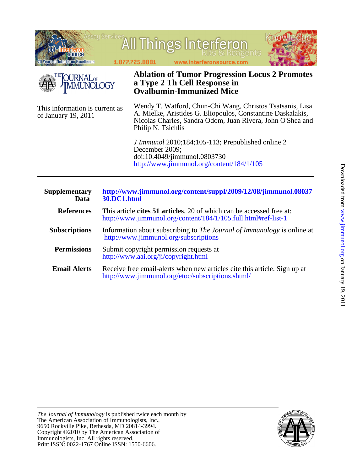

- **Permissions** <http://www.aai.org/ji/copyright.html> Submit copyright permission requests at
- **Email Alerts** <http://www.jimmunol.org/etoc/subscriptions.shtml/> Receive free email-alerts when new articles cite this article. Sign up at

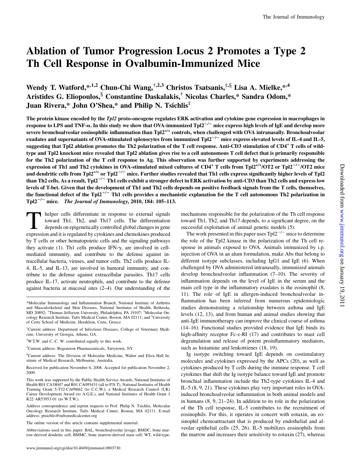# Ablation of Tumor Progression Locus 2 Promotes a Type 2 Th Cell Response in Ovalbumin-Immunized Mice

Wendy T. Watford,\*,1,2 Chun-Chi Wang, $\dagger$ ,2,3 Christos Tsatsanis, $\dagger$ ,\$ Lisa A. Mielke,\*,4 Aristides G. Eliopoulos, <sup>§</sup> Constantine Daskalakis,<sup>†</sup> Nicolas Charles,\* Sandra Odom,\* Juan Rivera,\* John O'Shea,\* and Philip N. Tsichlis‡

The protein kinase encoded by the Tpl2 proto-oncogene regulates ERK activation and cytokine gene expression in macrophages in response to LPS and TNF- $\alpha$ . In this study we show that OVA-immunized Tpl2<sup>-/-</sup> mice express high levels of IgE and develop more severe bronchoalveolar eosinophilic inflammation than Tpl2<sup>+/+</sup> controls, when challenged with OVA intranasally. Bronchoalveolar exudates and supernatants of OVA-stimulated splenocytes from immunized Tpl $2^{-/-}$  mice express elevated levels of IL-4 and IL-5, suggesting that Tpl2 ablation promotes the Th2 polarization of the T cell response. Anti-CD3 stimulation of CD4<sup>+</sup> T cells of wildtype and Tpl2 knockout mice revealed that Tpl2 ablation gives rise to a cell autonomous T cell defect that is primarily responsible for the Th2 polarization of the T cell response to Ag. This observation was further supported by experiments addressing the expression of Th1 and Th2 cytokines in OVA-stimulated mixed cultures of CD4<sup>+</sup> T cells from Tpl2<sup>+/+</sup>/OT2 or Tpl2<sup>-/-</sup>/OT2 mice and dendritic cells from Tpl2<sup>+/+</sup> or Tpl2<sup>-/-</sup> mice. Further studies revealed that Th1 cells express significantly higher levels of Tpl2 than Th2 cells. As a result, Tpl2<sup>-/-</sup> Th1 cells exhibit a stronger defect in ERK activation by anti-CD3 than Th2 cells and express low levels of T-bet. Given that the development of Th1 and Th2 cells depends on positive feedback signals from the T cells, themselves, the functional defect of the Tpl2<sup>-/-</sup> Th1 cells provides a mechanistic explanation for the T cell autonomous Th2 polarization in  $Tpl2^{-/-}$  mice. The Journal of Immunology, 2010, 184: 105–113.

Thelper cells differentiate in response to external signals toward Th1, Th2, and Th17 cells. The differentiation depends on epigenetically controlled global changes in gene expression and it is regulated by cytokines and chemokines produced by T cells or other hematopoietic cells and the signaling pathways they activate (1). Th1 cells produce IFN- $\gamma$ , are involved in cellmediated immunity, and contribute to the defense against intracellular bacteria, viruses, and tumor cells. Th2 cells produce IL-4, IL-5, and IL-13, are involved in humoral immunity, and contribute to the defense against extracellular parasites. Th17 cells produce IL-17, activate neutrophils, and contribute to the defense against bacteria at mucosal sites (2–4). Our understanding of the

- <sup>1</sup>Current address: Department of Infectious Diseases, College of Veterinary Medicine, University of Georgia, Athens, GA.
- $2$ W.T.W. and C.-C. W. contributed equally to this work.

3 Current address: Regeneron Pharmaceuticals, Tarrytown, NY.

4 Current address: The Division of Molecular Medicine, Walter and Eliza Hall Institute of Medical Research, Melbourne, Australia.

Received for publication November 6, 2008. Accepted for publication November 2, 2009.

This work was supported by the Public Health Service Awards, National Institutes of Health R01 CA38047 and R01 CA095431 (all to P.N.T), National Institutes of Health Training Grant 5-T32-CA09662 (to C.C.W.), a Medical Research Council (UK) Career Development Award (to A.G.E.), and National Institutes of Health Grant 1 K22 AR53953-01 (to W.T.W.).

Address correspondence and reprint requests to Prof. Philip N. Tsichlis, Molecular Oncology Research Institute, Tufts Medical Center, Boston, MA 02111. E-mail address: ptsichlis@tuftsmedicalcenter.org

The online version of this article contains supplemental material.

Abbreviations used in this paper: BAL, bronchoalveolar lavage; BMDC, bone marrow-derived dendritic cell; BMMC, bone marrow-derived mast cell; WT, wild-type. mechanisms responsible for the polarization of the Th cell response toward Th1, Th2, and Th17 depends, to a significant degree, on the successful exploitation of animal genetic models (5).

The work presented in this paper uses  $Tpl2^{-/-}$  mice to determine the role of the Tpl2 kinase in the polarization of the Th cell response in animals exposed to OVA. Animals immunized by i.p. injection of OVA in an alum formulation, make Abs that belong to different isotype subclasses, including IgG1 and IgE (6). When challenged by OVA administered intranasally, immunized animals develop bronchoalveolar inflammation (7–10). The severity of inflammation depends on the level of IgE in the serum and the main cell type in the inflammatory exudates is the eosinophil (8, 11). The role of IgE in allergen-induced bronchoalveolar inflammation has been inferred from numerous epidemiologic studies demonstrating a relationship between asthma and IgE levels (12, 13), and from human and animal studies showing that anti-IgE immunotherapy can improve the clinical course of asthma (14–16). Functional studies provided evidence that IgE binds its high-affinity receptor Fc- $\epsilon$ -RI (17) and contributes to mast cell degranulation and release of potent proinflammatory mediators, such as histamine and leukotrienes (18, 19).

Ig isotype switching toward IgE depends on costimulatory molecules and cytokines expressed by the APCs (20), as well as cytokines produced by T cells during the immune response. T cell cytokines that shift the Ig isotype balance toward IgE and promote bronchial inflammation include the Th2-type cytokines IL-4 and IL-5 (8, 9, 21). These cytokines play very important roles in OVAinduced bronchoalveolar inflammation in both animal models and in humans (8, 9, 21–24). In addition to its role in the polarization of the Th cell response, IL-5 contributes to the recruitment of eosinophils. For this, it operates in concert with eotaxin, an eosinophil chemoattractant that is produced by endothelial and alveolar epithelial cells (25, 26). IL-5 mobilizes eosinophils from the marrow and increases their sensitivity to eotaxin (27), whereas

<sup>\*</sup>Molecular Immunology and Inflammation Branch, National Institute of Arthritis and Musculoskeletal and Skin Diseases, National Institutes of Health, Bethesda, MD 20892; † Thomas Jefferson University, Philadelphia, PA 19107; ‡ Molecular Oncology Research Institute, Tufts Medical Center, Boston, MA 02111; and <sup>§</sup>University of Crete School of Medicine, Heraklion, Crete, Greece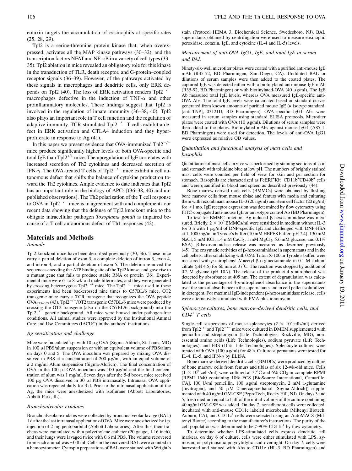eotaxin targets the accumulation of eosinophils at specific sites (25, 28, 29).

Tpl2 is a serine-threonine protein kinase that, when overexpressed, activates all the MAP kinase pathways (30–32), and the transcription factors NFAT and NF- $\kappa$ B in a variety of cell types (33– 35). Tpl2 ablation in mice revealed an obligatory role for this kinase in the transduction of TLR, death receptor, and G-protein–coupled receptor signals (36–39). However, of the pathways activated by these signals in macrophages and dendritic cells, only ERK depends on Tpl2 (40). The loss of ERK activation renders  $Tpl2^{-/-}$ macrophages defective in the induction of TNF- $\alpha$  and other proinflammatory molecules. These findings suggest that Tpl2 is involved in the regulation of innate immunity (36–38, 40). Tpl2 also plays an important role in T cell function and the regulation of adaptive immunity. TCR-stimulated  $Tp12^{-/-}$  T cells exhibit a defect in ERK activation and CTLA4 induction and they hyperproliferate in response to Ag (41).

In this paper we present evidence that OVA-immunized  $Tp12^{-/-}$ mice produce significantly higher levels of both OVA-specific and total IgE than Tpl $2^{+/+}$  mice. The upregulation of IgE correlates with increased secretion of Th2 cytokines and decreased secretion of IFN- $\gamma$ . The OVA-treated T cells of Tpl2<sup>-/-</sup> mice exhibit a cell autonomous defect that shifts the balance of cytokine production toward the Th2 cytokines. Ample evidence to date indicates that Tpl2 has an important role in the biology of APCs  $(36-38, 40)$  and unpublished observations]. The Th2 polarization of the T cell response to OVA in Tpl $2^{-/-}$  mice is in agreement with and complements our recent data showing that the defense of Tpl2 knockout mice to the obligate intracellular pathogen Toxoplama gondii is impaired because of a T cell autonomous defect of Th1 responses (42).

# Materials and Methods

### Animals

Tpl2 knockout mice have been described previously (30, 36). These mice carry a partial deletion of exon 3, a complete deletion of intron 3, exon 4, and intron 4, and a partial deletion of exon 5. The deletion removed the sequences encoding the ATP binding site of the Tpl2 kinase, and gave rise to a mutant gene that fails to produce stable RNA or protein (36). Experimental mice were 6- to 8-wk-old male littermates, and they were generated by crossing heterozygous Tpl2<sup>-/+</sup> mice. The Tpl2<sup>-/-</sup> mice used in these experiments had been backcrossed nine times to C57BL/6 mice. OT2 transgenic mice carry a TCR transgene that recognizes the OVA peptide  $OVA_{323-339}$  (43). Tpl2<sup>-/-</sup>/OT2 transgenic C57BL/6 mice were produced by crossing the OT2 transgene (also on the C57BL/6 background) into the Tpl $2^{-/-}$  genetic background. All mice were housed under pathogen-free genetic background. All mice were housed under pathogen-free conditions. All animal studies were approved by the Institutional Animal Care and Use Committees (IACUC) in the authors' institutions.

#### Ag sensitization and challenge

Mice were inoculated i.p. with  $10 \mu g$  OVA (Sigma-Aldrich, St. Louis, MO) in 100 ml PBS/alum suspension or with an equivalent volume of PBS/alum on days 0 and 5. The OVA inoculum was prepared by mixing OVA dissolved in PBS at a concentration of  $200 \mu g/ml$ , with an equal volume of a 2 mg/ml Alum suspension (Sigma-Aldrich). The final concentration of OVA in the 100  $\mu$ l OVA inoculum was 100  $\mu$ g/ml and the final concentration of alum was 1 mg/ml. Seven days after the 5-d boost, mice received 100  $\mu$ g OVA dissolved in 30  $\mu$ l PBS intranasally. Intranasal OVA application was repeated daily for 3 d. Prior to the intranasal application of the Ag, the mice were anesthetized with isoflurane (Abbott Laboratories, Abbott Park, IL).

#### Bronchoalveolar exudates

Bronchoalveolar exudates were collected by bronchoalveolar lavage (BAL) 1 d after the last intranasal application of OVA. Mice were anesthetized by i.p. injection of 2 mg pentobarbital (Abbott Laboratories). After this, their tracheas were cannulated with a polyethylene catheter (20 gauge; 1.16 inch), and their lungs were lavaged twice with 0.6 ml PBS. The volume recovered from each animal was ∼0.8 ml. Cells in the recovered BAL were counted in a hemocytometer. Cytospin preparations of BAL were stained with Wright's

stain (Protocol HEMA 3, Biochemical Science, Swedesboro, NJ). BAL supernatants obtained by centrifugation were used to measure eosinophil peroxidase, eotaxin, IgE, and cytokine (IL-4 and IL-5) levels.

### Measurement of anti-OVA IgG1, IgE, and total IgE in serum and BAL

Ninety-six-well microtiter plates were coated with a purified anti-mouse IgE mAb (R35-72, BD Pharmingen, San Diego, CA). Undiluted BAL or dilutions of serum samples were then added to the coated plates. The captured IgE was detected either with a biotinylated anti-mouse IgE mAb (R35-92, BD Pharmingen) or with biotinylated-OVA (40  $\mu$ g/ml). The IgE Ab measured total IgE levels, whereas OVA measured IgE-specific anti-OVA Abs. The total IgE levels were calculated based on standard curves generated from known amounts of purified mouse IgE  $(\kappa)$  isotype standard, [anti-TNP], 03121D, BD Pharmingen). OVA-specific IgG1 Abs were measured in serum samples using standard ELISA protocols. Microtiter plates were coated with OVA  $(10 \mu g/ml)$ . Dilutions of serum samples were then added to the plates. Biotinylated mAbs against mouse IgG1 (A85-1, BD Pharmingen) were used for detection. The levels of anti-OVA IgG1 were expressed as relative OD values.

### Quantitation and functional analysis of mast cells and basophils

Quantitation of mast cells in vivo was performed by staining sections of skin and stomach with toluidine blue at low pH. The numbers of brightly stained mast cells were counted per field of view for skin and per section for stomach. Basophils are characterized as FcERI<sup>+</sup>Kit<sup>-</sup>CD11b<sup>+</sup>CD49b<sup>+</sup> cells and were quantified in blood and spleen as described previously (44).

Bone marrow-derived mast cells (BMMCs) were obtained by flushing bone marrow cells from mouse tibiae and femurs with media and culturing them with recombinant mouse IL-3 (20 ng/ml) and stem cell factor (20 ng/ml) for  $>1$  mo. IgE receptor expression was determined by flow cytometry using FITC-conjugated anti-mouse IgE or an isotype control Ab (BD Pharmingen).

To test for BMMC function, Ag-induced  $\beta$ -hexosaminidase was measured. Briefly,  $2 \times 10^6$  BMMCs/ml were sensitized in medium without IL-3 for 3 h with 1  $\mu$ g/ml of DNP-specific IgE and challenged with DNP-HSA at 1-1000 ng/ml in Tyrode's buffer (10 mM HEPES buffer [pH 7.4], 130 mM NaCl, 5 mM KCl, 1.4 mM CaCl<sub>2</sub>, 1 mM MgCl<sub>2</sub>, 5.6 mM glucose, and  $0.1\%$ BSA).  $\beta$ -hexosaminidase release was measured as described previously (45). The enzymatic activities of  $\beta$ -hexosaminidase in supernatants and in the cell pellets, after solubilizing with 0.5% Triton X-100 in Tyrode's buffer, were measured with p-nitrophenyl N-acetyl- $\beta$ -D-glucosaminide in 0.1 M sodium citrate (pH 4.5) for 60 min at 37˚C. The reaction was stopped by addition of 0.2 M glycine (pH 10.7). The release of the product  $4-p$ -nitrophenol was detected by absorbance at 405 nm. The extent of degranulation was calculated as the percentage of 4-p-nitrophenol absorbance in the supernatants over the sum of absorbance in the supernatants and in cell pellets solubilized in detergent. For maximal IgE-independent  $\beta$ -hexosaminidase release, cells were alternatively stimulated with PMA plus ionomycin.

#### Splenocyte cultures, bone marrow-derived dendritic cells, and CD4<sup>+</sup> T cells

Single-cell suspensions of mouse splenocytes  $(2 \times 10^7 \text{cells/ml})$  derived from Tpl2<sup>+/+</sup> and Tpl2<sup>-/-</sup> mice were cultured in DMEM supplemented with penicillin and streptomycin (Life Technologies, Rockville, MD), nonessential amino acids (Life Technologies), sodium pyruvate (Life Technologies), and FBS (10%, Life Technologies). Splenocyte cultures were treated with OVA (100  $\mu$ g/ml) for 48 h. Culture supernatants were tested for IL-4, IL-5, and IFN- $\gamma$  by ELISA.

Bone marrow-derived dendritic cells (BMDCs) were produced by culture of bone marrow cells from femurs and tibias of six 12-wk-old mice. Cells  $(1 \times 10^6 \text{ cells/ml})$  were cultured at 37°C and 5% CO<sub>2</sub> in complete RPMI (RPMI 1640 containing 10% FCS [BioSource International, Camarillo, CA], 100 U/ml penicillin, 100 µg/ml streptomycin, 2 mM L-glutamine [Invitrogen], and 50  $\mu$ M 2-mercaptoethanol [Sigma-Aldrich]) supplemented with 40 ng/ml GM-CSF (PeproTech, Rocky Hill, NJ). On days 3 and 5, fresh medium equal to half of the initial volume of the culture containing 40 ng/ml GM-CSF was added. On day 7, nonadherent cells were collected, incubated with anti-mouse CD11c labeled microbeads (Miltenyi Biotech, Auburn, CA), and CD11c<sup>+</sup> cells were selected using an AutoMACS (Miltenyi Biotec) according to the manufacturer's instructions. The purity of the cell population was determined to be  $>90\%$  CD11c<sup>+</sup> by flow cytometry.

To determine whether LPS-stimulated cells express dendritic cell markers, on day 6 of culture, cells were either stimulated with LPS, zymosan, or polyinosinic-polycytidylic acid overnight. On day 7, cells were harvested and stained with Abs to CD11c (HL-3, BD Pharmingen) and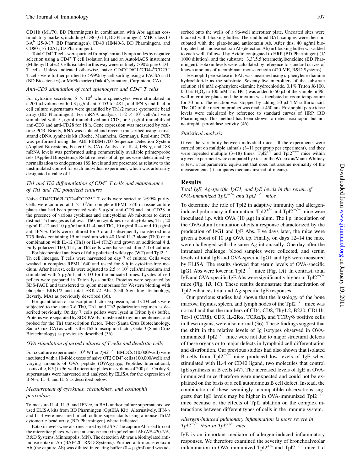CD11b (M1/70, BD Pharmingen) in combination with Abs against costimulatory markers, including CD86 (GL1, BD Pharmingen), MHC class II/ I-A<sup>b</sup> (25-9-17, BD Pharmingen), CD40 (HM40-3, BD Pharmingen), and CD80 (16-10A1,BD Pharmingen).

Total CD4+T cells were purified from spleen and lymph nodes by negative selection using a CD4<sup>+</sup> T cell isolation kit and an AutoMACS instrument (Miltenyi Biotec). Cells isolated in this way were routinely  $>90\%$  pure CD4<sup>+</sup> T cells. Unless indicated otherwise, naive CD4<sup>+</sup>CD62L<sup>+</sup>CD44<sup>lo</sup>CD25<sup>-</sup> T cells were further purified to >99% by cell sorting using a FACSAria II (BD Biosciences) or MoFlo sorter (DakoCytomation, Carpintera, CA).

#### Anti-CD3 stimulation of total splenocytes and  $CD4^+$  T cells

For cytokine secretion,  $5 \times 10^5$  whole splenocytes were stimulated in a 200-µl volume with 0-3 µg/ml anti-CD3 for 48 h, and IFN- $\gamma$  and IL-4 in cell culture supernatants were quantified by Th1/2 mouse cytometric bead array (BD Pharmingen). For mRNA analysis,  $1-2 \times 10^6$  cells/ml were stimulated with 5  $\mu$ g/ml immobilized anti-CD3, or 5  $\mu$ g/ml immobilized anti-CD3 and anti-CD28 for 18 h. Gene expression was measured by realtime PCR. Briefly, RNA was isolated and reverse transcribed using a firststrand cDNA synthesis kit (Roche, Mannheim, Germany). Real-time PCR was performed using the ABI PRISM7700 Sequence Detection System (Applied Biosystems, Foster City, CA). Analysis of IL-4, IFN- $\gamma$ , and 18S mRNA levels was performed using commercially available primer/probe sets (Applied Biosystems). Relative levels of all genes were determined by normalization to endogenous 18S levels and are presented as relative to the unstimulated control for each individual experiment, which was arbitrarily designated a value of 1.

# Th1 and Th2 differentiation of  $CD4^+$  T cells and maintenance of Th1 and Th2 polarized cultures

Naive CD4<sup>+</sup>CD62L<sup>+</sup>CD44<sup>lo</sup>CD25<sup>-</sup> T cells were sorted to >99% purity. Cells were cultured at  $1 \times 10^6$ /ml complete RPMI 1640 in tissue culture plates that had been precoated with  $5 \mu g/ml$  anti-CD3 and anti-CD28 in the presence of various cytokines and anticytokine Ab mixtures to direct distinct Th lineages as follows: Th0, no cytokines or anticytokines; Th1, 20 ng/ml IL-12 and 10  $\mu$ g/ml anti-IL-4; and Th2, 10 ng/ml IL-4 and 10  $\mu$ g/ml anti-IFN-g. Cells were cultured for 3 d and subsequently transferred into T75 flasks containing 15 ml medium with 40 U/ml IL-2 alone (Th0) or in combination with IL-12 (Th1) or IL-4 (Th2) and grown an additional 4 d. Fully polarized Th0, Th1, or Th2 cells were harvested after 7 d of culture.

For biochemical analyses of fully polarized wild-type (WT) and  $Tpl2^{-/-}$ Th cell lineages, T cells were harvested on day 7 of culture. Cells were washed in complete RPMI 1640 and rested for 8 h in cytokine-free medium. After harvest, cells were adjusted to 2.5  $\times$  10<sup>6</sup> cells/ml medium and stimulated with  $5 \mu g/ml$  anti-CD3 for the indicated times. Lysates of cell pellets were prepared in Triton lysis buffer. Proteins were separated by SDS-PAGE and transferred to nylon membranes for Western blotting with phosphor ERK1/2 and total ERK1/2 Abs (Cell Signaling Technology, Beverly, MA) as previously described (36).

For quantitation of transcription factor expression, total CD4 cells were subjected to the same 7-d Th0, Th1, and Th2 polarization regimen as described previously. On day 7, cells pellets were lysed in Triton lysis buffer. Proteins were separated by SDS-PAGE, transferred to nylon membranes, and probed for the Th1 transcription factor, T-bet (Santa Cruz Biotechnology, Santa Cruz, CA) as well as the Th2 transcription factor, Gata-3 (Santa Cruz Biotechnology) as previously described (36).

#### OVA stimulation of mixed cultures of T cells and dendritic cells

For coculture experiments,  $10^4$  WT or  $Tpl2^{-/-}$  BMDCs (10,000/well) were incubated with a 10-fold excess of naive OT2 CD4<sup>+</sup> cells (100,000/well) and varying amounts of OVA peptide (OVA323–339, Peptides International, Louisville, KY) in 96-well microtiter plates in a volume of 200  $\mu$ L. On day 3, supernatants were harvested and analyzed by ELISA for the expression of IFN- $\gamma$ , IL-4, and IL-5 as described below.

# Measurement of cytokines, chemokines, and eosinophil peroxidase

To measure IL-4, IL-5, and IFN- $\gamma$ , in BAL and/or culture supernatants, we used ELISA kits from BD Pharmingen (OptEIA Kit). Alternatively, IFN-g and IL-4 were measured in cell culture supernatants using a mouse Th1/2 cytometric bead array (BD Pharmingen) where indicated.

Eotaxin levels were also measured by ELISA. The capture Ab, used to coat the microtiter plates, was an anti-mouse eotaxin polyclonal Ab (AF-420-NA, R&D Systems, Minneapolis, MN). The detection Ab was a biotinylated antimouse eotaxin Ab (BAF420, R&D Systems). Purified anti-mouse eotaxin Ab (the capture Ab) was diluted in coating buffer  $(0.4 \mu g/ml)$  and was adsorbed onto the wells of a 96-well microtiter plate. Uncoated sites were blocked with blocking buffer. The undiluted BAL samples were then incubated with the plate-bound antieotaxin Ab. After this, 40 ng/ml biotinylated anti-mouse eotaxin Ab (detection Ab) in blocking buffer was added to each well, followed by Avidin conjugated to HRP (BD Pharmingen) (1/ 1000 dilution), and the substrate  $3,3',5.5'$ tetramethylbenzidine (BD Pharmingen). Eotaxin levels were calculated by reference to standard curves of known amounts of recombinant mouse eotaxin (420-ME, R&D Systems).

Eosinophil peroxidase in BAL was measured using  $o$ -phenylene-diamine hydrochloride as the substrate. Seventy-five microliters of the substrate solution (16 mM o-phenylene-diamine hydrochloride, 0.1% Triton X-100,  $0.01\%$  H<sub>2</sub>O<sub>2</sub> in 100 mM Tris-HCl) was added to 50  $\mu$ l of the sample in 96well microtiter plates and the mixture was incubated at room temperature for 30 min. The reaction was stopped by adding 50  $\mu$ l 4 M sulfuric acid. The OD of the reaction product was read at 450 nm. Eosinophil peroxidase levels were calculated by reference to standard curves of HRP (BD Pharmingen). This method has been shown to detect eosinophil but not neutrophil peroxidase activity (46).

#### Statistical analysis

Given the variability between individual mice, all the experiments were carried out on multiple animals  $(3-11$  per group per experiment), and they were repeated multiple  $(3-18)$  times. Tpl2<sup>+/+</sup> and Tpl2<sup>-/-</sup> mice within a given experiment were compared by t test or the Wilcoxon/Mann-Whitney  $U$  test, a nonparametric equivalent that does not assume normality of the measurements (it compares medians instead of means).

# Results

### Total IgE, Ag-specific IgG1, and IgE levels in the serum of OVA-immunized Tpl2<sup>+/+</sup> and Tpl2<sup>-/-</sup> mice

To determine the role of Tpl2 in adaptive immunity and allergeninduced pulmonary inflammation,  $Tp12^{+/+}$  and  $Tp12^{-/-}$  mice were inoculated i.p. with OVA  $(10 \mu g)$  in alum. The i.p. inoculation of the OVA/alum formulation elicits a response characterized by the production of IgG1 and IgE Abs. Five days later, the mice were given a boost of 10  $\mu$ g OVA i.p. Finally, on days 12–14 the mice were challenged with the same Ag intranasally. One day after the intranasal challenge, blood samples were collected, and serum levels of total IgE and OVA-specific IgG1 and IgE were measured by ELISA. The results showed that serum levels of OVA-specific IgG1 Abs were lower in Tpl2<sup> $-/-$ </sup> mice (Fig. 1A). In contrast, total IgE and OVA-specific IgE Abs were significantly higher in  $Tpl2^{-/-}$ mice (Fig. 1B, 1C). These results demonstrate that inactivation of Tpl2 enhances total and Ag-specific IgE responses.

Our previous studies had shown that the histology of the bone marrow, thymus, spleen, and lymph nodes of the  $Tp12^{-/-}$  mice was normal and that the numbers of CD4, CD8, Thy1.2, B220, CD11b, Ter-1 (CCR8), CD3, IL-2R $\alpha$ , TCR $\alpha/\beta$ , and TCR $\gamma/\delta$  positive cells in these organs, were also normal (36). These findings suggest that the shift in the relative levels of Ig isotypes observed in OVAimmunized  $Tp12^{-/-}$  mice were not due to major structural defects of these organs or to major defects in lymphoid cell differentiation and distribution. Our previous studies had also shown that isolated B cells from  $Tpl2^{-/-}$  mice produced low levels of IgE when stimulated with IL-4 or CD40 ligand, two molecules that control IgE synthesis in B cells (47). The increased levels of IgE in OVAimmunized mice therefore were unexpected and could not be explained on the basis of a cell autonomous B cell defect. Instead, the combination of these seemingly incompatible observations suggests that IgE levels may be higher in OVA-immunized  $Tpl2^{-/-}$ mice because of the effects of Tpl2 ablation on the complex interactions between different types of cells in the immune system.

# Allergen-induced pulmonary inflammation is more severe in  $Tpl2^{-/-}$  than in  $Tpl2^{+/+}$  mice

IgE is an important mediator of allergen-induced inflammatory responses. We therefore examined the severity of bronchoalveolar inflammation in OVA immunized  $Tp12^{+/+}$  and  $Tp12^{-/-}$  mice 1 d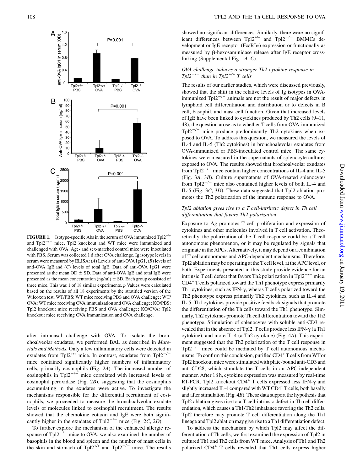

**FIGURE 1.** Isotype-specific Abs in the serum of OVA immunized  $Tpl2^{+/+}$ and  $Tp12^{-/-}$  mice. Tpl2 knockout and WT mice were immunized and challenged with OVA. Age- and sex-matched control mice were inoculated with PBS. Serum was collected 1 d after OVA challenge. Ig isotype levels in serum were measured by ELISA: (A) Levels of anti-OVA IgG1, (B) levels of anti-OVA IgE,and (C) levels of total IgE. Data of anti-OVA IgG1 were presented as the mean  $OD \pm SD$ . Data of anti-OVA IgE and total IgE were presented as the mean concentration (ng/ml)  $\pm$  SD. Each group consisted of three mice. This was 1 of 18 similar experiments.  $p$  Values were calculated based on the results of all 18 experiments by the stratified version of the Wilcoxon test. WT/PBS: WT mice receiving PBS and OVA challenge; WT/ OVA: WT mice receiving OVA immunization and OVA challenge; KO/PBS: Tpl2 knockout mice receiving PBS and OVA challenge; KO/OVA: Tpl2 knockout mice receiving OVA immunization and OVA challenge.

after intranasal challenge with OVA. To isolate the bronchoalveolar exudates, we performed BAL as described in Materials and Methods. Only a few inflammatory cells were detected in exudates from Tpl2<sup>+/+</sup> mice. In contrast, exudates from Tpl2<sup>-/-</sup> mice contained significantly higher numbers of inflammatory cells, primarily eosinophils (Fig. 2A). The increased number of eosinophils in Tpl $2^{-/-}$  mice correlated with increased levels of eosinophil peroxidase (Fig. 2B), suggesting that the eosinophils accumulating in the exudates were active. To investigate the mechanisms responsible for the differential recruitment of eosinophils, we proceeded to measure the bronchoalveolar exudate levels of molecules linked to eosinophil recruitment. The results showed that the chemokine eotaxin and IgE were both significantly higher in the exudates of Tpl2<sup>-/-</sup> mice (Fig. 2C, 2D).

To further explore the mechanism of the enhanced allergic response of Tpl $2^{-/-}$  mice to OVA, we also examined the number of basophils in the blood and spleen and the number of mast cells in the skin and stomach of Tpl2<sup>+/+</sup> and Tpl2<sup>-/-</sup> mice. The results

showed no significant differences. Similarly, there were no significant differences between  $Tpl2^{+/+}$  and  $Tpl2^{-/-}$  BMMCs development or IgE receptor ( $Fc\in RI\alpha$ ) expression or functionally as measured by  $\beta$ -hexosaminidase release after IgE receptor crosslinking (Supplemental Fig. 1A–C).

# OVA challenge induces a stronger Th2 cytokine response in  $Tpl2^{-/-}$  than in  $Tpl2^{+/+}$  T cells

The results of our earlier studies, which were discussed previously, showed that the shift in the relative levels of Ig isotypes in OVAimmunized Tpl $2^{-/-}$  animals are not the result of major defects in lymphoid cell differentiation and distribution or to defects in B cell, basophil, and mast cell function. Given that increased levels of IgE have been linked to cytokines produced by Th2 cells (9–11, 48), the question arose as to whether T cells from OVA-immunized  $Tpl2^{-/-}$  mice produce predominantly Th2 cytokines when exposed to OVA. To address this question, we measured the levels of IL-4 and IL-5 (Th2 cytokines) in bronchoalevolar exudates from OVA-immunized or PBS-inoculated control mice. The same cytokines were measured in the supernatants of splenocyte cultures exposed to OVA. The results showed that brochoalveolar exudates from Tpl $2^{-/-}$  mice contain higher concentrations of IL-4 and IL-5 (Fig. 3A, 3B). Culture supernatants of OVA-treated splenocytes from Tpl2<sup> $-/-$ </sup> mice also contained higher levels of both IL-4 and IL-5 (Fig. 3C, 3D). These data suggested that Tpl2 ablation promotes the Th2 polarization of the immune response to OVA.

# Tpl2 ablation gives rise to a T cell-intrinsic defect in Th cell differentiation that favors Th2 polarization

Exposure to Ag promotes T cell proliferation and expression of cytokines and other molecules involved in T cell activation. Theoretically, the polarization of the T cell response could be a T cell autonomous phenomenon, or it may be regulated by signals that originate in the APCs. Alternatively, it may depend on a combination of T cell autonomous and APC-dependent mechanisms. Therefore, Tpl2 ablation may be operating at the T cell level, at the APC level, or both. Experiments presented in this study provide evidence for an intrinsic T cell defect that favors Th2 polarization in Tpl $2^{-/-}$  mice. CD4<sup>+</sup> T cells polarized toward the Th1 phenotype express primarily Th1 cytokines, such as IFN- $\gamma$ , wheras T cells polarized toward the Th2 phenotype express primarily Th2 cytokines, such as IL-4 and IL-5. Th1 cytokines provide positive feedback signals that promote the differentiation of the Th cells toward the Th1 phenotype. Similarly, Th2 cytokines promote Th cell differentiation toward the Th2 phenotype. Stimulation of splenocytes with soluble anti-CD3 revealed that in the absence of Tpl2, T cells produce less IFN- $\gamma$  (a Th1 cytokine), and more IL-4 (a Th2 cytokine) (Fig. 4A). This experiment suggested that the Th2 polarization of the T cell response in  $Tpl2^{-/-}$  mice could be mediated by T cell autonomous mechanisms. To confirm this conclusion, purified CD4<sup>+</sup>T cells from WT or Tpl2 knockout mice were stimulated with plate-bound anti-CD3 and anti-CD28, which stimulate the T cells in an APC-independent manner. After 18 h, cytokine expression was measured by real-time RT-PCR. Tpl2 knockout  $CD4^+$  T cells expressed less IFN- $\gamma$  and slightly increased IL-4 compared with WT CD4<sup>+</sup> T cells, both basally and after stimulation (Fig. 4B). These data support the hypothesis that Tpl2 ablation gives rise to a T cell-intrinsic defect in Th cell differentiation, which causes a Th1/Th2 imbalance favoring the Th2 cells. Tpl2 therefore may promote T cell differentiation along the Th1 lineage and Tpl2 ablation may give riseto a Th1 differentiation defect.

To address the mechanism by which Tpl2 may affect the differentiation of Th cells, we first examined the expression of Tpl2 in cultured Th1 and Th2 cells from WT mice. Analysis of Th1 and Th2 polarized CD4<sup>+</sup> T cells revealed that Th1 cells express higher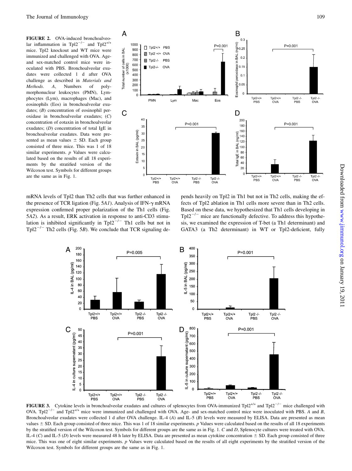FIGURE 2. OVA-induced bronchoalveolar inflammation in Tpl2<sup>-/-</sup> and Tpl2<sup>+/+</sup> mice. Tpl2 knockout and WT mice were immunized and challenged with OVA. Ageand sex-matched control mice were inoculated with PBS. Bronchoalveolar exudates were collected 1 d after OVA challenge as described in Materials and Methods. A, Numbers of polymorphonuclear leukocytes (PMN), Lymphocytes (Lym), macrophages (Mac), and eosinophils (Eos) in bronchoalveolar exudates; (B) concentration of eosinophil peroxidase in bronchoalveolar exudates; (C) concentration of eotaxin in bronchoalveolar exudates; (D) concentration of total IgE in bronchoalveolar exudates. Data were presented as mean values  $\pm$  SD. Each group consisted of three mice. This was 1 of 18 similar experiments. *p* Values were calculated based on the results of all 18 experiments by the stratified version of the Wilcoxon test. Symbols for different groups are the same as in Fig. 1.



mRNA levels of Tpl2 than Th2 cells that was further enhanced in the presence of TCR ligation (Fig. 5A1). Analysis of IFN- $\gamma$  mRNA expression confirmed proper polarization of the Th1 cells (Fig. 5A2). As a result, ERK activation in response to anti-CD3 stimulation is inhibited significantly in Tpl2<sup>-/-</sup> Th1 cells but not in Tpl2<sup>-/-</sup> Th2 cells (Fig. 5B). We conclude that TCR signaling de-

pends heavily on Tpl2 in Th1 but not in Th2 cells, making the effects of Tpl2 ablation in Th1 cells more severe than in Th2 cells. Based on these data, we hypothesized that Th1 cells developing in  $Tpl2^{-/-}$  mice are functionally defective. To address this hypothesis, we examined the expression of T-bet (a Th1 determinant) and GATA3 (a Th2 determinant) in WT or Tpl2-deficient, fully



FIGURE 3. Cytokine levels in bronchoalveolar exudates and cultures of splenocytes from OVA-immunized Tpl2<sup>+/+</sup> and Tpl2<sup>-/-</sup> mice challenged with OVA. Tpl2<sup>-/-</sup> and Tpl2<sup>+/+</sup> mice were immunized and challenged with OVA. Age- and sex-matched control mice were inoculated with PBS. A and B, Bronchoalveolar exudates were collected 1 d after OVA challenge. IL-4 (A) and IL-5 (B) levels were measured by ELISA. Data are presented as mean values  $\pm$  SD. Each group consisted of three mice. This was 1 of 18 similar experiments. p Values were calculated based on the results of all 18 experiments by the stratified version of the Wilcoxon test. Symbols for different groups are the same as in Fig. 1. C and D, Splenocyte cultures were treated with OVA. IL-4 (C) and IL-5 (D) levels were measured 48 h later by ELISA. Data are presented as mean cytokine concentration  $\pm$  SD. Each group consisted of three mice. This was one of eight similar experiments. p Values were calculated based on the results of all eight experiments by the stratified version of the Wilcoxon test. Symbols for different groups are the same as in Fig. 1.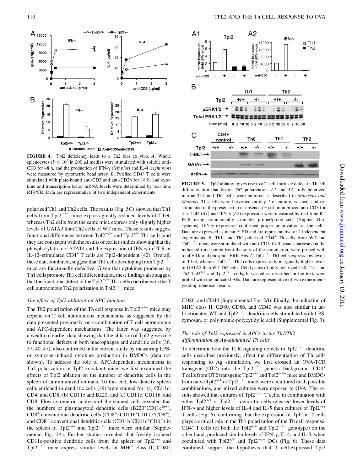

FIGURE 4. Tpl2 deficiency leads to a Th2 bias ex vivo. A, Whole splenocytes ( $5 \times 10^5$  in 200 µl media) were stimulated with soluble anti-CD3 for 48 h, and the production of IFN- $\gamma$  (left plot) and IL-4 (right plot) were measured by cytometric bead array.  $B$ , Purified CD4<sup>+</sup> T cells were stimulated with plate-bound anti-CD3 and anti-CD28 for 18 h, and cytokine and transcription factor mRNA levels were determined by real-time RT-PCR. Data are representative of two independent experiments.

polarized Th1 and Th2 cells. The results (Fig. 5C) showed that Th1 cells from Tpl $2^{-/-}$  mice express greatly reduced levels of T-bet, whereas Th2 cells from the same mice express only slightly higher levels of GATA3 than Th2 cells of WT mice. These results suggest functional differences between Tpl2<sup>-/-</sup> and Tpl2<sup>+/+</sup> Th1 cells, and they are consistent with the results of earlier studies showing that the phosphorylation of STAT4 and the expression of IFN- $\gamma$  in TCR or IL-12–stimulated CD4<sup>+</sup> T cells are Tpl2-dependent (42). Overall, these data combined, suggest that Th1 cells developing from  $Tp12^{-7}$ mice are functionally defective. Given that cytokines produced by Th1 cells promote Th1 cell differentiation, these findings also suggest that the functional defect of the  $Tpl2^{-/-}$  Th1 cells contributes to the T cell autonomous Th2 polarization in Tpl $2^{-/-}$  mice.

# The effect of Tpl2 ablation on APC function

The Th2 polarization of the Th cell response in Tpl $2^{-/-}$  mice may depend on T cell autonomous mechanisms, as suggested by the data presented previously, or a combination of T cell autonomous and APC-dependent mechanisms. The latter was suggested by a wealth of earlier data showing that the ablation of Tpl2 gives rise to functional defects in both macrophages and dendritic cells (36, 37, 40, 47), also confirmed in the current study by measuring LPSor zymosan-induced cytokine production in BMDCs (data not shown). To address the role of APC-dependent mechanisms in Th2 polarization in Tpl2 knockout mice, we first examined the effects of Tpl2 ablation on the number of dendritic cells in the spleen of unimmunized animals. To this end, low-density spleen cells enriched in dendritic cells (49) were stained for: (a) CD11c, CD4, and CD8; (b) CD11c and B220; and (c) CD11c, CD11b, and CD8. Flow-cytometric analysis of the stained cells revealed that the numbers of plasmacytoid dendritic cells  $(B220<sup>+</sup>CD11c<sup>low</sup>)$ , CD8<sup>+</sup> conventional dendritic cells (CD8<sup>+</sup>; CD11b<sup>+</sup>CD11c<sup>+</sup>CD8<sup>+</sup>), and  $CD8^-$  conventional dendritic cells ( $CD11b^+CD11c^+CD8^-$ ) in the spleen of Tpl2<sup>+/+</sup> and Tpl2<sup>-/-</sup> mice were similar (Supplemental Fig. 2A). Further studies revealed that freshly isolated CD11c-positive dendritic cells from the spleen of  $Tp12^{+/+}$  and  $Tpl2^{-/-}$  mice express similar levels of MHC class II, CD80,



FIGURE 5. Tpl2 ablation gives rise to a T cell-intrinsic defect in Th cell differentiation that favors Th2 polarization. A1 and A2, fully polarized murine Th1 and Th2 cells were cultured as described in Materials and Methods. The cells were harvested on day 7 of culture, washed, and restimulated in the presence  $(+)$  or absence  $(-)$  of immobilized anti-CD3 for 4 h. Tpl2  $(AI)$  and IFN- $\gamma$   $(A2)$  expression were measured by real-time RT PCR using commercially available primer/probe sets (Applied Biosystems). IFN- $\gamma$  expression confirmed proper polarization of the cells. Data are expressed as mean  $\pm$  SD and are representative of 2 independent experiments.  $B$ , Th1- and Th2-polarized CD4<sup>+</sup> Th cells from WT and  $Tpl2^{-/-}$  mice, were stimulated with anti-CD3. Cell lysates harvested at the indicated time points from the start of the stimulation, were probed with total ERK and phosphor-ERK Abs.  $C$ , Tpl2<sup>-/-</sup> Th1 cells express low levels of T-bet, whereas  $Tpl2^{-/-}$  Th2 cells express only marginally higher levels of GATA3 than WT Th2 cells. Cell lysates of fully polarized Th0, Th1, and Th2 Tpl2<sup>+/+</sup> and Tpl2<sup>-/-</sup> cells, harvested as described in the text, were probed with the indicated Abs. Data are representative of two experiments yielding identical results.

CD86, and CD40 (Supplemental Fig. 2B). Finally, the induction of MHC class II, CD80, CD86, and CD40 was also similar in unfractionated WT and Tpl2<sup> $-/-$ </sup> dendritic cells stimulated with LPS, zymosan, or polyinoinic-polycytidylic acid (Supplemental Fig. 3).

# The role of Tpl2 expressed in APCs in the Th1/Th2 differentiation of Ag-stimulated Th cells

To determine how the TLR signaling defects in Tpl $2^{-/-}$  dendritic cells described previously, affect the differentiation of Th cells responding to Ag stimulation, we first crossed an OVA-TCR transgene (OT2) into the Tpl2<sup>-/-</sup> genetic background. CD4<sup>+</sup> T cells from OT2 transgenic  $Tp12^{+/+}$  and  $Tp12^{-/-}$  mice and BMDCs from naive Tpl2<sup>+/+</sup> or Tpl2<sup>-/-</sup> mice, were cocultured in all possible combinations, and mixed cultures were exposed to OVA. The results showed that cultures of Tpl $2^{-/-}$  T cells, in combination with either Tpl2<sup>+/+</sup> or Tpl2<sup>-/-</sup> dendritic cells released lower levels of IFN- $\gamma$  and higher levels of IL-4 and IL-5 than cultures of Tpl2<sup>+/+</sup> T cells (Fig. 6), confirming that the expression of Tpl2 in T cells plays a critical role in the Th1 polarization of the Th cell response. CD4<sup>+</sup> T cells (of both the Tpl2<sup>+/+</sup> and Tpl2<sup>-/-</sup> genotype) on the other hand, produced similar levels of IFN- $\gamma$ , IL-4, and IL-5, when cocultured with Tpl2<sup>+/+</sup> and Tpl2<sup>-/-</sup> DCs (Fig. 6). These data combined, support the hypothesis that T cell-expressed Tpl2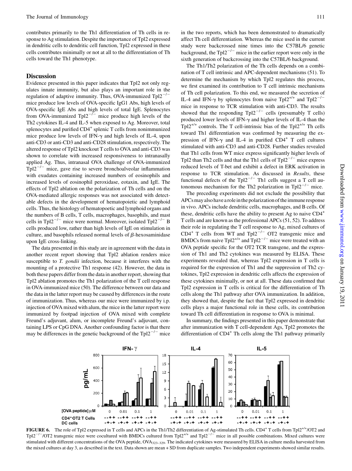contributes primarily to the Th1 differentiation of Th cells in response to Ag stimulation. Despite the importance of Tpl2 expressed in dendritic cells to dendritic cell function, Tpl2 expressed in these cells contributes minimally or not at all to the differentiation of Th cells toward the Th1 phenotype.

### **Discussion**

Evidence presented in this paper indicates that Tpl2 not only regulates innate immunity, but also plays an important role in the regulation of adaptive immunity. Thus, OVA-immunized  $Tp12^{-/-}$ mice produce low levels of OVA-specific IgG1 Abs, high levels of OVA-specific IgE Abs and high levels of total IgE. Splenocytes from OVA-immunized Tpl2<sup>- $\overline{C}$ </sup> mice produce high levels of the Th2 cytokines IL-4 and IL-5 when exposed to Ag. Moreover, total splenocytes and purified CD4<sup>+</sup> splenic T cells from nonimmunized mice produce low levels of IFN- $\gamma$  and high levels of IL-4, upon anti-CD3 or anti-CD3 and anti-CD28 stimulation, respectively. The altered response of Tpl2 knockout T cells to OVA and anti-CD3 was shown to correlate with increased responsiveness to intranasally applied Ag. Thus, intranasal OVA challenge of OVA-immunized  $Tpl2^{-/-}$  mice, gave rise to severe bronchoalveolar inflammation with exudates containing increased numbers of eosinophils and increased levels of eosinophil peroxidase, eotaxin, and IgE. The effects of Tpl2 ablation on the polarization of Th cells and on the OVA-mediated allergic responses was not associated with detectable defects in the development of hematopoietic and lymphoid cells. Thus, the histology of hematopoetic and lymphoid organs and the numbers of B cells, T cells, macrophages, basophils, and mast cells in Tpl2<sup>-/-</sup> mice were normal. Moreover, isolated Tpl2<sup>-/-</sup> B cells produced low, rather than high levels of IgE on stimulation in culture, and basophils released normal levels of  $\beta$ -hexosaminidase upon IgE cross-linking.

The data presented in this study are in agreement with the data in another recent report showing that Tpl2 ablation renders mice susceptible to *T. gondii* infection, because it interferes with the mounting of a protective Th1 response (42). However, the data in both these papers differ from the data in another report, showing that Tpl2 ablation promotes the Th1 polarization of the T cell response in OVA-immunized mice (50). The difference between our data and the data in the latter report may be caused by differences in the route of immunization. Thus, whereas our mice were immunized by i.p. injection of OVA mixed with alum, the mice in the latter report were immunized by footpad injection of OVA mixed with complete Freund's adjuvant, alum, or incomplete Freund's adjuvant, containing LPS or CpG DNA. Another confounding factor is that there may be differences in the genetic background of the  $Tpl2^{-/-}$  mice

The Th1/Th2 polarization of the Th cells depends on a combination of T cell intrinsic and APC-dependent mechanisms (51). To determine the mechanism by which Tpl2 regulates this process, we first examined its contribution to T cell intrinsic mechanisms of Th cell polarization. To this end, we measured the secretion of IL-4 and IFN- $\gamma$  by splenocytes from naive Tpl2<sup>+/+</sup> and Tpl2<sup>-/</sup> mice in response to TCR stimulation with anti-CD3. The results showed that the responding  $Tpl2^{-/-}$  cells (presumably T cells) produced lower levels of IFN- $\gamma$  and higher levels of IL-4 than the Tpl2<sup>+/+</sup> controls. The T cell-intrinsic bias of the Tpl2<sup>+/+</sup> Th cells toward Th1 differentiation was confirmed by measuring the expression of IFN- $\gamma$  and IL-4 in purified CD4<sup>+</sup> T cell cultures stimulated with anti-CD3 and anti-CD28. Further studies revealed that Th1 cells from WT mice express significantly higher levels of Tpl2 than Th2 cells and that the Th1 cells of  $Tp12^{-/-}$  mice express reduced levels of T-bet and exhibit a defect in ERK activation in response to TCR stimulation. As discussed in Results, these functional defects of the Tpl2<sup>-/-</sup> Th1 cells suggest a T cell autonomous mechanism for the Th2 polarization in Tpl $2^{-/-}$  mice.

The preceding experiments did not exclude the possibility that APCs may also have a role in the polarization of the immune response in vivo. APCs include dendritic cells, macrophages, and B cells. Of these, dendritic cells have the ability to present Ag to naive CD4<sup>+</sup> T cells and are known as the professional APCs (51, 52). To address their role in regulating the T cell response to Ag, mixed cultures of  $CD4^+$  T cells from WT and Tpl2<sup>-/-</sup> OT2 transgenic mice and BMDCs from naive Tpl2<sup>+/+</sup> and Tpl2<sup>-/-</sup> mice were treated with an OVA peptide specific for the OT2 TCR transgene, and the expression of Th1 and Th2 cytokines was measured by ELISA. These experiments revealed that, whereas Tpl2 expression in T cells is required for the expression of Th1 and the suppression of Th2 cytokines, Tpl2 expression in dendritic cells affects the expression of these cytokines minimally, or not at all. These data confirmed that Tpl2 expression in T cells is critical for the differentiation of Th cells along the Th1 pathway after OVA immunization. In addition, they showed that, despite the fact that Tpl2 expressed in dendritic cells plays a major functional role in these cells, its contribution toward Th cell differentiation in response to OVA is minimal.

In summary, the findings presented in this paper demonstrate that after immunization with T cell-dependent Ags, Tpl2 promotes the differentiation of CD4<sup>+</sup> Th cells along the Th1 pathway primarily



FIGURE 6. The role of Tpl2 expressed in T cells and APCs in the Th1/Th2 differentiation of Ag-stimulated Th cells. CD4<sup>+</sup> T cells from Tpl2<sup>+/+</sup>/OT2 and Tpl2<sup>-/-</sup>/OT2 transgenic mice were cocultured with BMDCs cultured from Tpl2<sup>+/+</sup> and Tpl2<sup>-/-</sup> mice in all possible combinations. Mixed cultures were stimulated with different concentrations of the OVA peptide, OVA323-329. The indicated cytokines were measured by ELISA in culture media harvested from the mixed cultures at day 3, as described in the text. Data shown are mean + SD from duplicate samples. Two independent experiments showed similar results.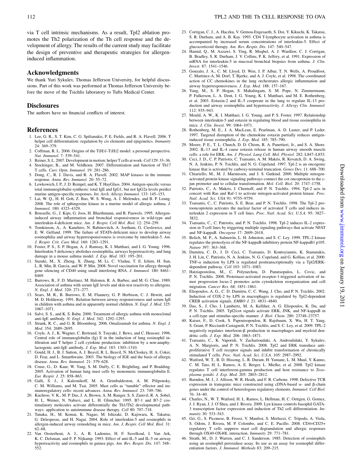via T cell intrinsic mechanisms. As a result, Tpl2 ablation promotes the Th2 polarization of the Th cell response and the development of allergy. The results of the current study may facilitate the design of preventive and therapeutic strategies for allergeninduced inflammation.

# Acknowledgments

We thank Yuri Sykulev, Thomas Jefferson University, for helpful discussions. Part of this work was performed at Thomas Jefferson University before the move of the Tsichlis laboratory to Tufts Medical Center.

# **Disclosures**

The authors have no financial conflicts of interest.

#### References

- 1. Lee, G. R., S. T. Kim, C. G. Spilianakis, P. E. Fields, and R. A. Flavell. 2006. T helper cell differentiation: regulation by cis elements and epigenetics. Immunity 24: 369–379.
- 2. Coffman, R. L. 2006. Origins of the T(H)1-T(H)2 model: a personal perspective. Nat. Immunol. 7: 539–541.
- 3. Reiner, S. L. 2007. Development in motion: helper T cells at work.Cell 129: 33–36. 4. Stockinger, B., and M. Veldhoen. 2007. Differentiation and function of Th17
- T cells. Curr. Opin. Immunol. 19: 281–286. 5. Dong, C., R. J. Davis, and R. A. Flavell. 2002. MAP kinases in the immune
- response. Annu. Rev. Immunol. 20: 55–72.
- 6. Lewkowich, I. P., J. D. Rempel, and K. T. HayGlass. 2004. Antigen-specific versus total immunoglobulin synthesis: total IgE and IgG1, but not IgG2a levels predict murine antigen-specific responses. Int. Arch. Allergy Immunol. 133: 145–153.
- 7. Lai, W. Q., H. H. Goh, Z. Bao, W. S. Wong, A. J. Melendez, and B. P. Leung. 2008. The role of sphingosine kinase in a murine model of allergic asthma. J. Immunol. 180: 4323–4329.
- 8. Brusselle, G., J. Kips, G. Joos, H. Bluethmann, and R. Pauwels. 1995. Allergeninduced airway inflammation and bronchial responsiveness in wild-type and interleukin-4-deficient mice. Am. J. Respir. Cell Mol. Biol. 12: 254–259.
- 9. Tomkinson, A., A. Kanehiro, N. Rabinovitch, A. Joetham, G. Cieslewicz, and E. W. Gelfand. 1999. The failure of STAT6-deficient mice to develop airway eosinophilia and airway hyperresponsiveness is overcome by interleukin-5. Am. J. Respir. Crit. Care Med. 160: 1283–1291.
- 10. Foster, P. S., S. P. Hogan, A. J. Ramsay, K. I. Matthaei, and I. G. Young. 1996. Interleukin 5 deficiency abolishes eosinophilia, airways hyperreactivity, and lung damage in a mouse asthma model. *J. Exp. Med.* 183: 195–201.
- 11. Suzuki, M., X. Zheng, X. Zhang, M. Li, C. Vladau, T. E. Ichim, H. Sun, L. R. Min, B. Garcia, and W. P. Min. 2008. Novel vaccination for allergy through gene silencing of CD40 using small interfering RNA. J. Immunol. 180: 8461-8469.
- 12. Burrows, B., F. D. Martinez, M. Halonen, R. A. Barbee, and M. G. Cline. 1989. Association of asthma with serum IgE levels and skin-test reactivity to allergens. N. Engl. J. Med. 320: 271–277.
- 13. Sears, M. R., B. Burrows, E. M. Flannery, G. P. Herbison, C. J. Hewitt, and M. D. Holdaway. 1991. Relation between airway responsiveness and serum IgE in children with asthma and in apparently normal children. N. Engl. J. Med. 325: 1067–1071.
- 14. Salvi, S. S., and K. S. Babu. 2000. Treatment of allergic asthma with monoclonal anti-IgE antibody. N. Engl. J. Med. 342: 1292–1293.
- 15. Strunk, R. C., and G. R. Bloomberg. 2006. Omalizumab for asthma. N. Engl. J. Med. 354: 2689–2695.
- 16. Coyle, A. J., K. Wagner, C. Bertrand, S. Tsuyuki, J. Bews, and C. Heusser. 1996. Central role of immunoglobulin (Ig) E in the induction of lung eosinophil infiltration and T helper 2 cell cytokine production: inhibition by a non-anaphylactogenic anti-IgE antibody. J. Exp. Med. 183: 1303–1310.
- 17. Gould, H. J., B. J. Sutton, A. J. Beavil, R. L. Beavil, N. McCloskey, H. A. Coker, D. Fear, and L. Smurthwaite. 2003. The biology of IGE and the basis of allergic disease. Annu. Rev. Immunol. 21: 579–628.
- 18. Cruse, G., D. Kaur, W. Yang, S. M. Duffy, C. E. Brightling, and P. Bradding. 2005. Activation of human lung mast cells by monomeric immunoglobulin E. Eur. Respir. J. 25: 858–863.
- 19. Galli, S. J., J. Kalesnikoff, M. A. Grimbaldeston, A. M. Piliponsky, C. M. Williams, and M. Tsai. 2005. Mast cells as "tunable" effector and immunoregulatory cells: recent advances. Annu. Rev. Immunol. 23: 749–786.
- 20. Kuchroo, V. K., M. P. Das, J. A. Brown, A. M. Ranger, S. S. Zamvil, R. A. Sobel, H. L. Weiner, N. Nabavi, and L. H. Glimcher. 1995. B7-1 and B7-2 costimulatory molecules activate differentially the Th1/Th2 developmental pathways: application to autoimmune disease therapy. Cell 80: 707–718.
- 21. Tanaka, H., M. Komai, K. Nagao, M. Ishizaki, D. Kajiwara, K. Takatsu, G. Delespesse, and H. Nagai. 2004. Role of interleukin-5 and eosinophils in allergen-induced airway remodeling in mice. Am. J. Respir. Cell Mol. Biol. 31: 62–68.
- 22. Van Oosterhout, A. J., A. R. Ladenius, H. F. Savelkoul, I. Van Ark, K. C. Delsman, and F. P. Nijkamp. 1993. Effect of anti-IL-5 and IL-5 on airway hyperreactivity and eosinophils in guinea pigs. Am. Rev. Respir. Dis. 147: 548– 552.
- 23. Corrigan, C. J., A. Haczku, V. Gemou-Engesaeth, S. Doi, Y. Kikuchi, K. Takatsu, S. R. Durham, and A. B. Kay. 1993. CD4 T-lymphocyte activation in asthma is accompanied by increased serum concentrations of interleukin-5. Effect of glucocorticoid therapy. Am. Rev. Respir. Dis. 147: 540–547.
- 24. Hamid, Q., M. Azzawi, S. Ying, R. Moqbel, A. J. Wardlaw, C. J. Corrigan, B. Bradley, S. R. Durham, J. V. Collins, P. K. Jeffery, et al. 1991. Expression of mRNA for interleukin-5 in mucosal bronchial biopsies from asthma. J. Clin. Invest. 87: 1541–1546.
- 25. Gonzalo, J. A., C. M. Lloyd, D. Wen, J. P. Albar, T. N. Wells, A. Proudfoot, C. Martinez-A, M. Dorf, T. Bjerke, and A. J. Coyle, et al. 1998. The coordinated action of CC chemokines in the lung orchestrates allergic inflammation and airway hyperresponsiveness. J. Exp. Med. 188: 157–167.
- 26. Yang, M., S. P. Hogan, S. Mahalingam, S. M. Pope, N. Zimmermann, P. Fulkerson, L. A. Dent, I. G. Young, K. I. Matthaei, and M. E. Rothenberg, et al. 2003. Eotaxin-2 and IL-5 cooperate in the lung to regulate IL-13 production and airway eosinophilia and hyperreactivity. J. Allergy Clin. Immunol. 112: 935–943.
- 27. Mould, A. W., K. I. Matthaei, I. G. Young, and P. S. Foster. 1997. Relationship between interleukin-5 and eotaxin in regulating blood and tissue eosinophilia in mice. J. Clin. Invest. 99: 1064–1071.
- 28. Rothenberg, M. E., J. A. MacLean, E. Pearlman, A. D. Luster, and P. Leder. 1997. Targeted disruption of the chemokine eotaxin partially reduces antigeninduced tissue eosinophilia. J. Exp. Med. 185: 785–790.
- 29. Moore, P. E., T. L. Church, D. D. Chism, R. A. Panettieri, Jr., and S. A. Shore. 2002. IL-13 and IL-4 cause eotaxin release in human airway smooth muscle cells: a role for ERK. Am. J. Physiol. Lung Cell. Mol. Physiol. 282: L847–L853.
- 30. Ceci, J. D., C. P. Patriotis, C. Tsatsanis, A. M. Makris, R. Kovatch, D. A. Swing, N. A. Jenkins, P. N. Tsichlis, and N. G. Copeland. 1997. Tpl-2 is an oncogenic kinase that is activated by carboxy-terminal truncation. Genes Dev. 11: 688–700.
- 31. Chiariello, M., M. J. Marinissen, and J. S. Gutkind. 2000. Multiple mitogenactivated protein kinase signaling pathways connect the cot oncoprotein to the cjun promoter and to cellular transformation. Mol. Cell. Biol. 20: 1747-1758.
- 32. Patriotis, C., A. Makris, J. Chernoff, and P. N. Tsichlis. 1994. Tpl-2 acts in concert with Ras and Raf-1 to activate mitogen-activated protein kinase. Proc. Natl. Acad. Sci. USA 91: 9755–9759.
- 33. Tsatsanis, C., C. Patriotis, S. E. Bear, and P. N. Tsichlis. 1998. The Tpl-2 protooncoprotein activates the nuclear factor of activated T cells and induces interleukin 2 expression in T cell lines. Proc. Natl. Acad. Sci. U.S.A. 95: 3827– 3832.
- 34. Tsatsanis, C., C. Patriotis, and P. N. Tsichlis. 1998. Tpl-2 induces IL-2 expression in T-cell lines by triggering multiple signaling pathways that activate NFAT and NF-kappaB. Oncogene 17: 2609–2618.
- 35. Belich, M. P., A. Salmerón, L. H. Johnston, and S. C. Ley. 1999. TPL-2 kinase regulates the proteolysis of the NF-kappaB-inhibitory protein NF-kappaB1 p105. Nature 397: 363–368.
- 36. Dumitru, C. D., J. D. Ceci, C. Tsatsanis, D. Kontoyiannis, K. Stamatakis, J. H. Lin, C. Patriotis, N. A. Jenkins, N. G. Copeland, and G. Kollias, et al. 2000. TNF- $\alpha$  induction by LPS is regulated posttranscriptionally via a Tpl2/ERKdependent pathway. Cell 103: 1071–1083.
- 37. Hatziapostolou, M., C. Polytarchou, D. Panutsopulos, L. Covic, and P. N. Tsichlis. 2008. Proteinase-activated receptor-1-triggered activation of tumor progression locus-2 promotes actin cytoskeleton reorganization and cell migration. Cancer Res. 68: 1851–1861.
- 38. Eliopoulos, A. G., C. D. Dumitru, C. C. Wang, J. Cho, and P. N. Tsichlis. 2002. Induction of COX-2 by LPS in macrophages is regulated by Tpl2-dependent CREB activation signals. EMBO J. 21: 4831–4840.
- 39. Das, S., J. Cho, I. Lambertz, M. A. Kelliher, A. G. Eliopoulos, K. Du, and P. N. Tsichlis. 2005. Tpl2/cot signals activate ERK, JNK, and NF-kappaB in a cell-type and stimulus-specific manner. J. Biol. Chem. 280: 23748–23757.
- 40. Kaiser, F., D. Cook, S. Papoutsopoulou, R. Rajsbaum, X. Wu, H. T. Yang, S. Grant, P. Ricciardi-Castagnoli, P. N. Tsichlis, and S. C. Ley, et al. 2009. TPL-2 negatively regulates interferon- $\beta$  production in macrophages and myeloid dendritic cells. J. Exp. Med. 206: 1863–1871.
- 41. Tsatsanis, C., K. Vaporidi, V. Zacharioudaki, A. Androulidaki, Y. Sykulev, A. N. Margioris, and P. N. Tsichlis. 2008. Tpl2 and ERK transduce antiproliferative T cell receptor signals and inhibit transformation of chronically stimulated T cells. Proc. Natl. Acad. Sci. U.S.A. 105: 2987–2992.
- 42. Watford, W. T., B. D. Hissong, L. R. Durant, H. Yamane, L. M. Muul, Y. Kanno, C. M. Tato, H. L. Ramos, A. E. Berger, L. Mielke, et al. 2008. Tpl2 kinase regulates T cell interfereon-gamma production and host resistance to Toxoplasma gondii. J. Exp. Med. 205: 2803–2812.
- 43. Barnden, M. J., J. Allison, W. R. Heath, and F. R. Carbone. 1998. Defective TCR expression in transgenic mice constructed using cDNA-based  $\alpha$ - and  $\beta$ -chain genes under the control of heterologous regulatory elements. Immunol. Cell Biol.  $76: 34-40.$
- 44. Charles, N., W. T. Watford, H. L. Ramos, L. Hellman, H. C. Oettgen, G. Gomez, J. J. Ryan, J. J. O'Shea, and J. Rivera. 2009. Lyn kinase controls basophil GATA-3 transcription factor expression and induction of Th2 cell differentiation. Immunity 30: 533–543.
- 45. Gri, G., S. Piconese, B. Frossi, V. Manfroi, S. Merluzzi, C. Tripodo, A. Viola, S. Odom, J. Rivera, M. P. Colombo, and C. E. Pucillo. 2008. CD4+CD25+ regulatory T cells suppress mast cell degranulation and allergic responses through OX40-OX40L interaction. Immunity 29: 771–781.
- 46. Strath, M., D. J. Warren, and C. J. Sanderson. 1985. Detection of eosinophils using an eosinophil peroxidase assay. Its use as an assay for eosinophil differentiation factors. J. Immunol. Methods 83: 209–215.